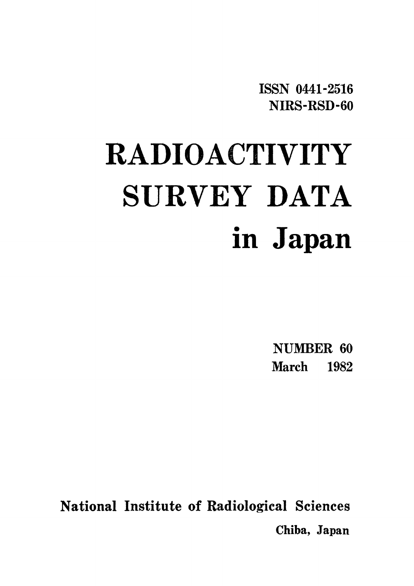**ISSN 0441-2516** NIRS-RSD-60

# **RADIOACTIVITY** SURVEY DATA in Japan

NUMBER 60 **March** 1982

National Institute of Radiological Sciences Chiba, Japan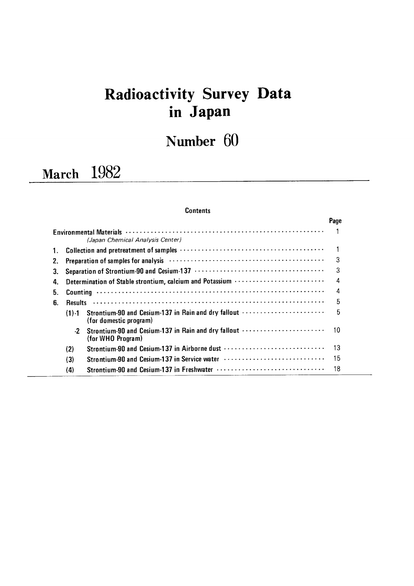# Radioactivity Survey Data inJapan

Number 60

# March 1982

# **Contents**

|    |           |                                                                                                               | Page |
|----|-----------|---------------------------------------------------------------------------------------------------------------|------|
|    |           | (Japan Chemical Analysis Center)                                                                              |      |
| 1. |           |                                                                                                               |      |
| 2. |           | Preparation of samples for analysis (and accommodation of samples for analysis) (and accommodation of samples | 3    |
| З. |           |                                                                                                               | 3    |
| 4. |           | Determination of Stable strontium, calcium and Potassium                                                      | 4    |
| 5. |           |                                                                                                               | 4    |
| 6. |           |                                                                                                               | 5    |
|    | $(1) - 1$ | Strontium-90 and Cesium-137 in Rain and dry fallout<br>(for domestic program)                                 | 5    |
|    | $-2$      | Strontium-90 and Cesium-137 in Rain and dry fallout<br>(for WHO Program)                                      | 10   |
|    | (2)       | Strontium-90 and Cesium-137 in Airborne dust                                                                  | 13   |
|    | (3)       | Strontium-90 and Cesium-137 in Service water                                                                  | 15   |
|    | (4)       |                                                                                                               | 18   |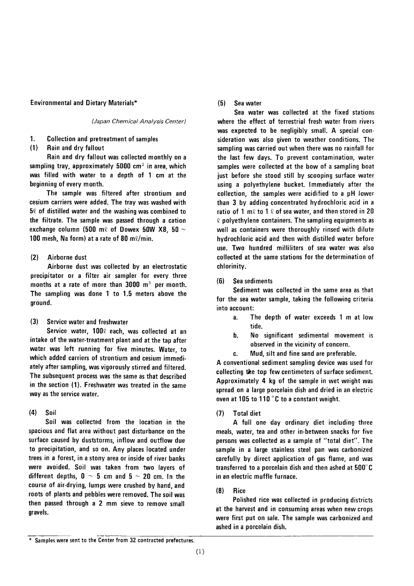Environmental and Dietary Materials\*

(Japan Chemical Analysis Center)

1. Collection and pretreatment of samples

 $(1)$ Rain and dry fallout

Rain and dry fallout was collected monthly on a sampling tray, approximately 5000  $\text{cm}^2$  in area, which was filled with water to a depth of 1 cm at the beginning of every month.

The sample was filtered after strontium and cesium carriers were added. The tray was washed with  $50$  of distilled water and the washing was combined to the filtrate. The sample was passed through a cation exchange column (500 m $\ell$  of Dowex 50W X8, 50  $\sim$ 100 mesh, Na form) at a rate of 80 m $\ell$ /min.

#### $(2)$ Airborne dust

Airborne dust was collected by an electrostatic precipitator or a filter air sampler for every three months at a rate of more than  $3000 \, \text{m}^3$  per month. The sampling was done 1 to 1.5 meters above the around.

 $(3)$ Service water and freshwater

Service water, 1000 each, was collected at an intake of the water-treatment plant and at the tap after water was left running for five minutes. Water, to which added carriers of strontium and cesium immediately after sampling, was vigorously stirred and filtered. The subsequent process was the same as that described in the section (1). Freshwater was treated in the same way as the service water.

#### $(4)$ Soil

Soil was collected from the location in the spacious and flat area without past disturbance on the surface caused by duststorms, inflow and outflow due to precipitation, and so on. Any places located under trees in a forest, in a stony area or inside of river banks were avoided. Soil was taken from two layers of different depths,  $0 \sim 5$  cm and  $5 \sim 20$  cm. In the course of air-drying, lumps were crushed by hand, and roots of plants and pebbles were removed. The soil was then passed through a 2 mm sieve to remove small gravels.

#### $(5)$ Sea water

Sea water was collected at the fixed stations where the effect of terrestrial fresh water from rivers was expected to be negligibly small. A special consideration was also given to weather conditions. The sampling was carried out when there was no rainfall for the last few days. To prevent contamination, water samples were collected at the bow of a sampling boat just before she stood still by scooping surface water using a polyethylene bucket. Immediately after the collection, the samples were acidified to a pH lower than 3 by adding concentrated hydrochloric acid in a ratio of 1 m $\ell$  to 1  $\ell$  of sea water, and then stored in 20  $\ell$  polyethylene containers. The sampling equipments as well as containers were thoroughly rinsed with dilute hydrochloric acid and then with distilled water before use. Two hundred milliliters of sea water was also collected at the same stations for the determination of chlorinity.

#### Sea sediments  $(6)$

Sediment was collected in the same area as that for the sea water sample, taking the following criteria into account:

- $a<sub>r</sub>$ The depth of water exceeds 1 m at low tide.
- No significant sedimental movement is b. observed in the vicinity of concern.
- Mud, silt and fine sand are preferable. c.

A conventional sediment sampling device was used for collecting the top few centimeters of surface sediment. Approximately 4 kg of the sample in wet weight was spread on a large porcelain dish and dried in an electric oven at 105 to 110 °C to a constant weight.

**Total diet**  $(7)$ 

A full one day ordinary diet including three meals, water, tea and other in-between snacks for five persons was collected as a sample of "total diet". The sample in a large stainless steel pan was carbonized carefully by direct application of gas flame, and was transferred to a porcelain dish and then ashed at 500°C in an electric muffle furnace.

#### $(8)$ **Rice**

Polished rice was collected in producing districts at the harvest and in consuming areas when new crops were first put on sale. The sample was carbonized and ashed in a porcelain dish.

<sup>\*</sup> Samples were sent to the Center from 32 contracted prefectures.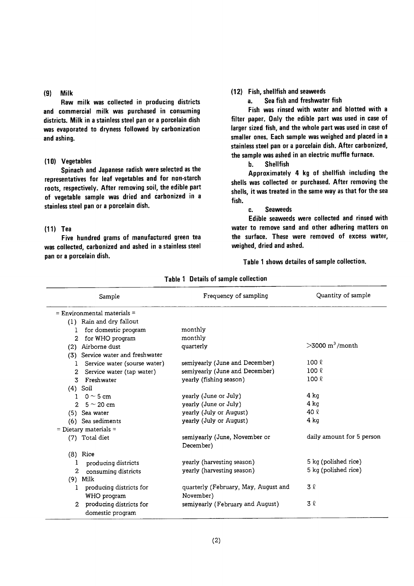#### $(9)$ Milk

Raw milk was collected in producing districts and commercial milk was purchased in consuming districts. Milk in a stainless steel pan or a porcelain dish was evaporated to dryness followed by carbonization and ashing.

#### (10) Vegetables

Spinach and Japanese radish were selected as the representatives for leaf vegetables and for non-starch roots, respectively. After removing soil, the edible part of vegetable sample was dried and carbonized in a stainless steel pan or a porcelain dish.

#### $(11)$  Tea

Five hundred grams of manufactured green tea was collected, carbonized and ashed in a stainless steel pan or a porcelain dish.

#### (12) Fish, shellfish and seaweeds

Sea fish and freshwater fish a.

Fish was rinsed with water and blotted with a filter paper. Only the edible part was used in case of larger sized fish, and the whole part was used in case of smaller ones. Each sample was weighed and placed in a stainless steel pan or a porcelain dish. After carbonized, the sample was ashed in an electric muffle furnace.

> b. **Shellfish**

Approximately 4 kg of shellfish including the shells was collected or purchased. After removing the shells, it was treated in the same way as that for the sea fish.

#### **Seaweeds** c.

Edible seaweeds were collected and rinsed with water to remove sand and other adhering matters on the surface. These were removed of excess water, weighed, dried and ashed.

Table 1 shows detailes of sample collection.

| Sample                                    | Frequency of sampling                | Quantity of sample             |
|-------------------------------------------|--------------------------------------|--------------------------------|
| $=$ Environmental materials $=$           |                                      |                                |
| (1) Rain and dry fallout                  |                                      |                                |
| for domestic program<br>L                 | monthly                              |                                |
| for WHO program<br>2                      | monthly                              |                                |
| Airborne dust<br>(2)                      | quarterly                            | $>$ 3000 m <sup>3</sup> /month |
| Service water and freshwater<br>(3)       |                                      |                                |
| Service water (sourse water)<br>1         | semiyearly (June and December)       | 100 l                          |
| Service water (tap water)<br>2            | semiyearly (June and December)       | $100 \ell$                     |
| Freshwater<br>3                           | yearly (fishing season)              | 100 <sub>k</sub>               |
| $(4)$ Soil                                |                                      |                                |
| $0 \sim 5$ cm<br>L                        | yearly (June or July)                | $4$ kg                         |
| $\overline{2}$<br>$5 \simeq 20~\text{cm}$ | yearly (June or July)                | 4 ka                           |
| (5) Sea water                             | yearly (July or August)              | 40 $\ell$                      |
| (6) Sea sediments                         | yearly (July or August)              | 4 ka                           |
| $=$ Dietary materials $=$                 |                                      |                                |
| (7) Total diet                            | semiyearly (June, November or        | daily amount for 5 person      |
|                                           | December)                            |                                |
| $(8)$ Rice                                |                                      |                                |
| producing districts<br>1                  | yearly (harvesting season)           | 5 kg (polished rice)           |
| 2<br>consuming districts                  | yearly (harvesting season)           | 5 kg (polished rice)           |
| $(9)$ Milk                                |                                      |                                |
| producing districts for<br>1              | quarterly (February, May, August and | 3 l                            |
| WHO program                               | November)                            |                                |
| producing districts for<br>$\mathfrak{D}$ | semiyearly (February and August)     | 3 l                            |
| domestic program                          |                                      |                                |

Table 1 Details of sample collection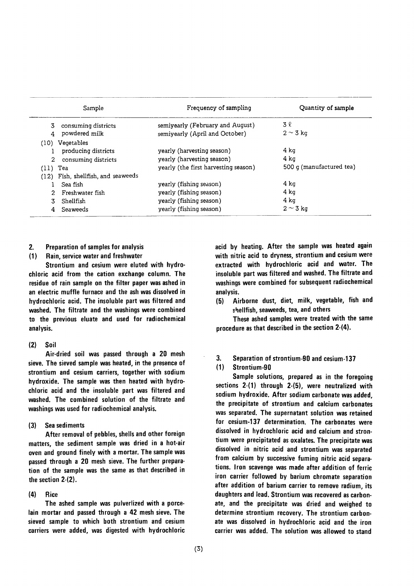|            | Sample                             | Frequency of sampling                | Quantity of sample       |
|------------|------------------------------------|--------------------------------------|--------------------------|
| 3          | consuming districts                | semiyearly (February and August)     | 3 l                      |
|            | powdered milk                      | semiyearly (April and October)       | $2 \sim 3$ kg            |
|            | (10) Vegetables                    |                                      |                          |
|            | producing districts                | yearly (harvesting season)           | 4 ka                     |
| 2.         | consuming districts                | yearly (harvesting season)           | 4 ka                     |
| $(11)$ Tea |                                    | yearly (the first harvesting season) | 500 g (manufactured tea) |
|            | (12) Fish, shellfish, and seaweeds |                                      |                          |
|            | Sea fish                           | yearly (fishing season)              | 4 ka                     |
|            | Freshwater fish                    | yearly (fishing season)              | 4 ka                     |
|            | Shellfish                          | yearly (fishing season)              | 4 ka                     |
|            | Seaweeds                           | yearly (fishing season)              | $2 \sim 3$ kg            |

#### 2. Preparation of samples for analysis

#### (1) Rain, service water and freshwater

Strontium and cesium were eluted with hydro・ chloric acid from the cation exchange column. The residue of rain sample on the filter paper was ashed in an electric muffle furnace and the ash was dissolved in hydrochloric acid. The insoluble part was filtered and washed. The filtrate and the washings were combined to the previous eluate and used for radiochemical analysis.

#### (2) Soil

Air-dried soil was passed through a 20 mesh sieve. The sieved sample was heated, in the presence of strontium and cesium carriers, together with sodium hydroxide. The sample was then heated with hydrochloric acid and the insoluble part was filtered and washed. The combined solution of the filtrate and washings was used for radiochemical analysis.

#### $(3)$ Sea sediments

After removal of pebbles, shells and other foreign matters, the sediment sample was dried in a hot-air oven and ground finely with a mortar. The sample was passed through a 20 mesh sieve. The further preparation of the sample was the same as that described in the section 2-(2).

#### $\langle 4 \rangle$ Rice

The ashed sample was pulverlized with a porcelain mortar and passed through a 42 mesh sieve. The sieved sample to which both strontium and cesium carriers were added, was digested with hydrochloric acid by heating. After the sample was heated again with nitric acid to dryness, strontium and cesium were extracted with hydrochloric acid and water. The insoluble part was filtered and washed. The filtrate and washings were combined for subsequent radiochemical analysis.

(5) Airborne dust, diet, milk, vegetable, fish and shellfish, seaweeds, tea, and others

These ashed samples were treated with the same procedure as that described in the section  $2-(4)$ .

3. Separation of strontium-90 and cesium-137

#### (1) Strontium-90

Sample solutions, prepared as in the foregoing sections  $2-(1)$  through  $2-(5)$ , were neutralized with sodium hydroxide. After sodium carbonate was added. the precipitate of strontium and calcium carbonates was separated. The supernatant solution was retained for cesium-137 determination. The carbonates were dissolved in hydrochloric acid and calcium and strontium were precipitated as oxalates. The precipitate was dissolved in nitric acid and strontium was separated from calcium by successive fuming nitric acid separations. Iron scavenge was made after addition of ferric iron carrier followed by barium chromate separation after addition of barium carrier to remove radium, its daughters and lead. Strontium was recovered as carbonate, and the precipitate was dried and weighed to determine strontium recovery. The strontium carbonate was dissolved in hydrochloric acid and the iron carrier was added. The solution was allowed to stand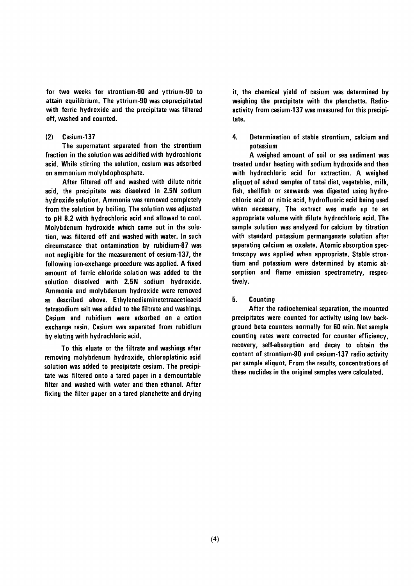for two weeks for strontium-90 and yttrium-90 to attain equilibrium. The yttrium-90 was coprecipitated with ferric hydroxide and the precipitate was filtered off, washed and counted.

#### $(2)$ Cesium-137

The supernatant separated from the strontium fraction in the solution was acidified with hydrochloric acid. While stirring the solution, cesium was adsorbed on ammonium molybdophosphate.

After filtered off and washed with dilute nitric acid, the precipitate was dissolved in 2.5N sodium hydroxide solution. Ammonia was removed completely from the solution by boiling. The solution was adjusted to pH 8.2 with hydrochloric acid and allowed to cool. Molybdenum hydroxide which came out in the solution, was filtered off and washed with water. In such circumstance that ontamination by rubidium-87 was not negligible for the measurement of cesium-137, the following ion-exchange procedure was applied. A fixed amount of ferric chloride solution was added to the solution dissolved with 2.5N sodium hydroxide. Ammonia and molybdenum hydroxide were removed as described above. Ethylenediaminetetraaceticacid tetrasodium salt was added to the filtrate and washings. Cesium and rubidium were adsorbed on a cation exchange resin. Cesium was separated from rubidium by eluting with hydrochloric acid.

To this eluate or the filtrate and washings after removing molybdenum hydroxide, chloroplatinic acid solution was added to precipitate cesium. The precipitate was filtered onto a tared paper in a demountable filter and washed with water and then ethanol. After fixing the filter paper on a tared planchette and drying it, the chemical yield of cesium was determined by weighing the precipitate with the planchette. Radioactivity from cesium-137 was measured for this precipitate.

4. Determination of stable strontium, calcium and potassium

A weighed amount of soil or sea sediment was treated under heating with sodium hydroxide and then with hydrochloric acid for extraction. A weighed aliquot of ashed samples of total diet, vegetables, milk, fish, shellfish or seeweeds was digested using hydrochloric acid or nitric acid, hydrofluoric acid being used when necessary. The extract was made up to an appropriate volume with dilute hydrochloric acid. The sample solution was analyzed for calcium by titration with standard potassium permanganate solution after separating calcium as oxalate. Atomic absorption spectroscopy was applied when appropriate. Stable strontium and potassium were determined by atomic absorption and flame emission spectrometry, respectively.

#### 5. **Counting**

After the radiochemical separation, the mounted precipitates were counted for activity using low background beta counters normally for 60 min. Net sample counting rates were corrected for counter efficiency, recovery, self-absorption and decay to obtain the content of strontium-90 and cesium-137 radio activity per sample aliquot. From the results, concentrations of these nuclides in the original samples were calculated.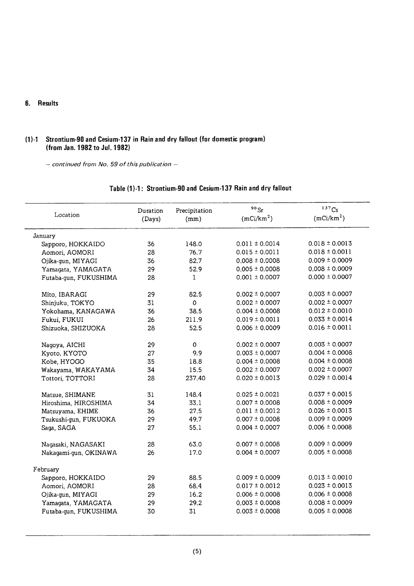## 6. Results

# (1)-1 Strontium-90 and Cesium-137 in Rain and dry fallout (for domestic program) (from Jan. 1982 to Jul. 1982)

 $-$  continued from No. 59 of this publication  $-$ 

| Location              | Duration<br>(Days) | Precipitation<br>(mm) | $90$ Sr<br>(mCi/km <sup>2</sup> ) | $137$ Cs<br>(mCi/km <sup>2</sup> ) |
|-----------------------|--------------------|-----------------------|-----------------------------------|------------------------------------|
| January               |                    |                       |                                   |                                    |
| Sapporo, HOKKAIDO     | 36                 | 148.0                 | $0.011 \pm 0.0014$                | $0.018 \pm 0.0013$                 |
| Aomori, AOMORI        | 28                 | 76.7                  | $0.015 \pm 0.0011$                | $0.018 \pm 0.0011$                 |
| Ojika-qun, MIYAGI     | 36                 | 82.7                  | $0.008 \pm 0.0008$                | $0.009 \pm 0.0009$                 |
| Yamagata, YAMAGATA    | 29                 | 52.9                  | $0.005 \pm 0.0008$                | $0.008 \pm 0.0009$                 |
| Futaba-gun, FUKUSHIMA | 28                 | 1                     | $0.001 \pm 0.0007$                | $0.000 \pm 0.0007$                 |
| Mito, IBARAGI         | 29                 | 82.5                  | $0.002 \pm 0.0007$                | $0.003 \pm 0.0007$                 |
| Shinjuku, TOKYO       | 31                 | $\Omega$              | $0.002 \pm 0.0007$                | $0.002 \pm 0.0007$                 |
| Yokohama, KANAGAWA    | 36                 | 38.5                  | $0.004 \pm 0.0008$                | $0.012 \pm 0.0010$                 |
| Fukui, FUKUI          | 26                 | 211.9                 | $0.019 \pm 0.0011$                | $0.033 \pm 0.0014$                 |
| Shizuoka, SHIZUOKA    | 28                 | 52.5                  | $0.006 \pm 0.0009$                | $0.016 \pm 0.0011$                 |
| Nagoya, AICHI         | 29                 | $\pmb{0}$             | $0.002 \pm 0.0007$                | $0.003 \pm 0.0007$                 |
| Kyoto, KYOTO          | 27                 | 9.9                   | $0.003 \pm 0.0007$                | $0.004 \pm 0.0008$                 |
| Kobe, HYOGO           | 35                 | 18.8                  | $0.004 \pm 0.0008$                | $0.004 \pm 0.0008$                 |
| Wakayama, WAKAYAMA    | 34                 | 15.5                  | $0.002 \pm 0.0007$                | $0.002 \pm 0.0007$                 |
| Tottori, TOTTORI      | 28                 | 237.40                | $0.020 \pm 0.0013$                | $0.029 \pm 0.0014$                 |
| Matsue, SHIMANE       | 31                 | 148.4                 | $0.025 \pm 0.0021$                | $0.037 \pm 0.0015$                 |
| Hiroshima, HIROSHIMA  | 34                 | 33.1                  | $0.007 \pm 0.0008$                | $0.008 \pm 0.0009$                 |
| Matsuyama, EHIME      | 36                 | 27.5                  | $0.011 \pm 0.0012$                | $0.026 \pm 0.0013$                 |
| Tsukushi-gun, FUKUOKA | 29                 | 49.7                  | $0.007 \pm 0.0008$                | $0.009 \pm 0.0009$                 |
| Saga, SAGA            | 27                 | 55.1                  | $0.004 \pm 0.0007$                | $0.006 \pm 0.0008$                 |
| Nagasaki, NAGASAKI    | 28                 | 63.0                  | $0.007 \pm 0.0008$                | $0.009 \pm 0.0009$                 |
| Nakagami-gun, OKINAWA | 26                 | 17.0                  | $0.004 \pm 0.0007$                | $0.005 \pm 0.0008$                 |
| February              |                    |                       |                                   |                                    |
| Sapporo, HOKKAIDO     | 29                 | 88.5                  | $0.009 \pm 0.0009$                | $0.013 \pm 0.0010$                 |
| Aomori, AOMORI        | 28                 | 68.4                  | $0.017 \pm 0.0012$                | $0.023 \pm 0.0013$                 |
| Ojika-gun, MIYAGI     | 29                 | 16.2                  | $0.006 \pm 0.0008$                | $0.006 \pm 0.0008$                 |
| Yamagata, YAMAGATA    | 29                 | 29.2                  | $0.003 \pm 0.0008$                | $0.008 \pm 0.0009$                 |
| Futaba-gun, FUKUSHIMA | 30                 | 31                    | $0.003 \pm 0.0008$                | $0.005 \pm 0.0008$                 |

# Table (1)-1: Strontium-90 and Cesium-137 Rain and dry fallout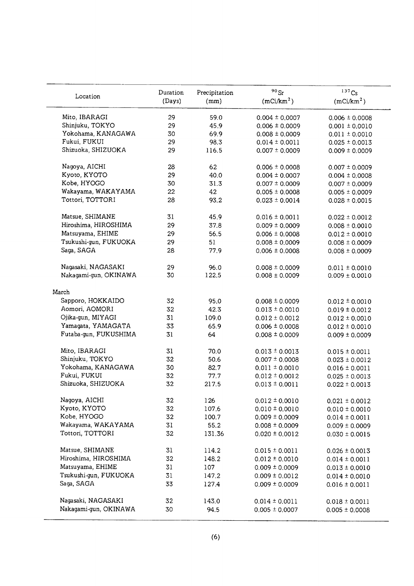| Location              | Duration | Precipitation | $90$ Sr                | 137C <sub>S</sub>      |
|-----------------------|----------|---------------|------------------------|------------------------|
|                       | (Days)   | (mm)          | (mCi/km <sup>2</sup> ) | (mCi/km <sup>2</sup> ) |
| Mito, IBARAGI         | 29       | 59.0          | $0.004 \pm 0.0007$     | $0.006 \pm 0.0008$     |
| Shinjuku, TOKYO       | 29       | 45.9          | $0.006 \pm 0.0009$     | $0.001 \pm 0.0010$     |
| Yokohama, KANAGAWA    | 30       | 69.9          | $0.008 \pm 0.0009$     | $0.011 \pm 0.0010$     |
| Fukui, FUKUI          | 29       | 98.3          | $0.014 \pm 0.0011$     | $0.025 \pm 0.0013$     |
| Shizuoka, SHIZUOKA    | 29       | 116.5         | $0.007 \pm 0.0009$     | $0.009 \pm 0.0009$     |
| Nagoya, AICHI         | 28       | 62            | $0.006 \pm 0.0008$     | $0.007 \pm 0.0009$     |
| Kyoto, KYOTO          | 29       | 40.0          | $0.004 \pm 0.0007$     | $0.004 \pm 0.0008$     |
| Kobe, HYOGO           | 30       | 31.3          | $0.007 \pm 0.0009$     | $0.007 \pm 0.0009$     |
| Wakayama, WAKAYAMA    | 22       | 42            | $0.005 \pm 0.0008$     | $0.005 \pm 0.0009$     |
| Tottori, TOTTORI      | 28       | 93.2          | $0.023 \pm 0.0014$     | $0.028 \pm 0.0015$     |
| Matsue, SHIMANE       | 31       | 45.9          | $0.016 \pm 0.0011$     | $0.022 \pm 0.0012$     |
| Hiroshima, HIROSHIMA  | 29       | 37.8          | $0.009 \pm 0.0009$     | $0.008 \pm 0.0010$     |
| Matsuyama, EHIME      | 29       | 56.5          | $0.006 \pm 0.0008$     | $0.012 \pm 0.0010$     |
| Tsukushi-gun, FUKUOKA | 29       | 51            | $0.008 \pm 0.0009$     | $0.008 \pm 0.0009$     |
| Saga, SAGA            | 28       | 77.9          | $0.006 \pm 0.0008$     | $0.008 \pm 0.0009$     |
| Nagasaki, NAGASAKI    | 29       | 96.0          | $0.008 \pm 0.0009$     | $0.011 \pm 0.0010$     |
| Nakagami-gun, OKINAWA | 30       | 122.5         | $0.008 \pm 0.0009$     | $0.009 \pm 0.0010$     |
| March                 |          |               |                        |                        |
| Sapporo, HOKKAIDO     | 32       | 95.0          | $0.008 \pm 0.0009$     | $0.012 \pm 0.0010$     |
| Aomori, AOMORI        | 32       | 42.3          | $0.013 \pm 0.0010$     | $0.019 \pm 0.0012$     |
| Ojika-gun, MIYAGI     | 31       | 109.0         | $0.012 \pm 0.0012$     | $0.012 \pm 0.0010$     |
| Yamagata, YAMAGATA    | 33       | 65.9          | $0.006 \pm 0.0008$     | $0.012 \pm 0.0010$     |
| Futaba-gun, FUKUSHIMA | 31       | 64            | $0.008 \pm 0.0009$     | $0.009 \pm 0.0009$     |
| Mito, IBARAGI         | 31       | 70.0          | $0.013 \pm 0.0013$     | $0.015 \pm 0.0011$     |
| Shinjuku, TOKYO       | 32       | 50.6          | $0.007 \pm 0.0008$     | $0.023 \pm 0.0012$     |
| Yokohama, KANAGAWA    | 30       | 82.7          | $0.011 \pm 0.0010$     | $0.016 \pm 0.0011$     |
| Fukui, FUKUI          | 32       | 77.7          | $0.012 \pm 0.0012$     | $0.025 \pm 0.0013$     |
| Shizuoka, SHIZUOKA    | 32       | 217.5         | $0.013 \pm 0.0011$     | $0.022 \pm 0.0013$     |
| Nagoya, AICHI         | 32       | 126           | $0.012 \pm 0.0010$     | $0.021 \pm 0.0012$     |
| Kyoto, KYOTO          | 32       | 107.6         | $0.010 \pm 0.0010$     | $0.010 \pm 0.0010$     |
| Kobe, HYOGO           | 32       | 100.7         | $0.009 \pm 0.0009$     | $0.014 \pm 0.0011$     |
| Wakayama, WAKAYAMA    | 31       | 55.2          | $0.008 \pm 0.0009$     | $0.009 \pm 0.0009$     |
| Tottori, TOTTORI      | 32       | 131.36        | $0.020 \pm 0.0012$     | $0.030 \pm 0.0015$     |
| Matsue, SHIMANE       | 31       | 114.2         | $0.015 \pm 0.0011$     | $0.026 \pm 0.0013$     |
| Hiroshima, HIROSHIMA  | 32       | 148.2         | $0.012 \pm 0.0010$     | $0.014 \pm 0.0011$     |
| Matsuyama, EHIME      | 31       | 107           | $0.009 \pm 0.0009$     | $0.013 \pm 0.0010$     |
| Tsukushi-gun, FUKUOKA | 31       | 147.2         | $0.009 \pm 0.0012$     | $0.014 \pm 0.0010$     |
| Saga, SAGA            | 33       | 127.4         | $0.009 \pm 0.0009$     | $0.016 \pm 0.0011$     |
| Nagasaki, NAGASAKI    | 32       | 143.0         | $0.014 \pm 0.0011$     | $0.018 \pm 0.0011$     |
| Nakagami-gun, OKINAWA | 30       | 94.5          | $0.005 \pm 0.0007$     | $0.005 \pm 0.0008$     |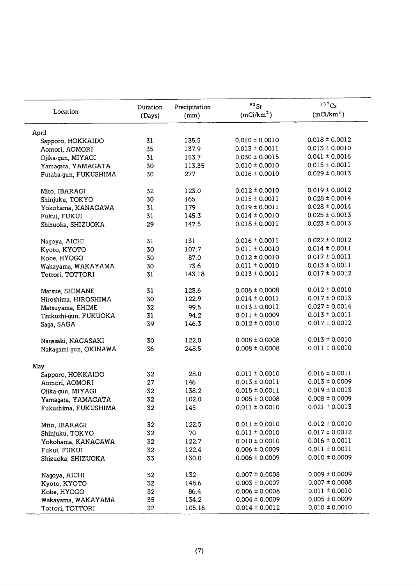| Location              | Duration | Precipitation | $90$ Sr<br>(mCi/km <sup>2</sup> ) | 137Cs<br>(mCi/km <sup>2</sup> ) |
|-----------------------|----------|---------------|-----------------------------------|---------------------------------|
|                       | (Days)   | (mm)          |                                   |                                 |
| April                 |          |               |                                   |                                 |
| Sapporo, HOKKAIDO     | 31       | 135.5         | $0.010 \pm 0.0010$                | $0.018 \pm 0.0012$              |
| Aomori, AOMORI        | 35       | 137.9         | $0.013 \pm 0.0011$                | $0.013 \pm 0.0010$              |
| Ojika-gun, MIYAGI     | 31       | 153.7         | $0.030 \pm 0.0015$                | $0.041 \pm 0.0016$              |
| Yamagata, YAMAGATA    | 30       | 113.35        | $0.010 \pm 0.0010$                | $0.015 \pm 0.0011$              |
| Futaba-gun, FUKUSHIMA | 30       | 277           | $0.016 \pm 0.0010$                | $0.029 \pm 0.0013$              |
| Mito, IBARAGI         | 32       | 123.0         | $0.012 \pm 0.0010$                | $0.019 \pm 0.0012$              |
| Shinjuku, TOKYO       | 30       | 165           | $0.015 \pm 0.0011$                | $0.028 \pm 0.0014$              |
| Yokohama, KANAGAWA    | 31       | 179           | $0.019 \pm 0.0011$                | $0.028 \pm 0.0014$              |
| Fukui, FUKUI          | 31       | 145.3         | $0.014 \pm 0.0010$                | $0.025 \pm 0.0013$              |
| Shizuoka, SHIZUOKA    | 29       | 147.5         | $0.018 \pm 0.0011$                | $0.023 \pm 0.0013$              |
| Nagoya, AICHI         | 31       | 131           | $0.016 \pm 0.0011$                | $0.022 \pm 0.0012$              |
| Kyoto, KYOTO          | 30       | 107.7         | $0.011 \pm 0.0010$                | $0.014 \pm 0.0011$              |
| Kobe, HYOGO           | 30       | 87.0          | $0.012 \pm 0.0010$                | $0.017 \pm 0.0011$              |
| Wakayama, WAKAYAMA    | 30       | 73.6          | $0.011 \pm 0.0010$                | $0.013 \pm 0.0011$              |
| Tottori, TOTTORI      | 31       | 143.18        | $0.013 \pm 0.0011$                | $0.017 \pm 0.0012$              |
| Matsue, SHIMANE       | 31       | 123.6         | $0.008 \pm 0.0008$                | $0.012 \pm 0.0010$              |
| Hiroshima, HIROSHIMA  | 30       | 122.9         | $0.014 \pm 0.0011$                | $0.017 \pm 0.0013$              |
| Matsuyama, EHIME      | 32       | 99.5          | $0.013 \pm 0.0011$                | $0.027 \pm 0.0014$              |
| Tsukushi-gun, FUKUOKA | 31       | 94.2          | $0.011 \pm 0.0009$                | $0.013 \pm 0.0011$              |
| Saga, SAGA            | 39       | 146.3         | $0.012 \pm 0.0010$                | $0.017 \pm 0.0012$              |
| Nagasaki, NAGASAKI    | 30       | 122.0         | $0.008 \pm 0.0008$                | $0.013 \pm 0.0010$              |
| Nakagami-gun, OKINAWA | 36       | 248.5         | $0.008 \pm 0.0008$                | $0.011 \pm 0.0010$              |
| May                   |          |               |                                   |                                 |
| Sapporo, HOKKAIDO     | 32       | 28.0          | $0.011 \pm 0.0010$                | $0.016 \pm 0.0011$              |
| Aomori, AOMORI        | 27       | 146           | $0.013 \pm 0.0011$                | $0.013 \pm 0.0009$              |
| Ojika-gun, MIYAGI     | 32       | 138.2         | $0.015 \pm 0.0011$                | $0.019 \pm 0.0013$              |
| Yamagata, YAMAGATA    | 32       | 102.0         | $0.005 \pm 0.0008$                | $0.008 \pm 0.0009$              |
| Fukushima, FUKUSHIMA  | 32       | 145           | $0.011 \pm 0.0010$                | $0.021 \pm 0.0013$              |
| Mito, IBARAGI         | 32       | 122.5         | $0.011 \pm 0.0010$                | $0.012 \pm 0.0010$              |
| Shinjuku, TOKYO       | 32       | 70            | $0.011 \pm 0.0010$                | $0.017 \pm 0.0012$              |
| Yokohama, KANAGAWA    | 32       | 122.7         | $0.010 \pm 0.0010$                | $0.016 \pm 0.0011$              |
| Fukui, FUKUI          | 32       | 122.4         | $0.006 \pm 0.0009$                | $0.011 \pm 0.0011$              |
| Shizuoka, SHIZUOKA    | 33       | 130.0         | $0.006 \pm 0.0009$                | $0.010 \pm 0.0009$              |
| Nagoya, AICHI         | 32       | 132           | $0.007 \pm 0.0008$                | $0.009 \pm 0.0009$              |
| Kyoto, KYOTO          | 32       | 148.6         | $0.003 \pm 0.0007$                | $0.007 \pm 0.0008$              |
| Kobe, HYOGO           | 32       | 86.4          | $0.006 \pm 0.0008$                | $0.011 \pm 0.0010$              |
| Wakayama, WAKAYAMA    | 35       | 134.2         | $0.004 \pm 0.0009$                | $0.005 \pm 0.0009$              |
| Tottori, TOTTORI      | 32       | 105.16        | $0.014 \pm 0.0012$                | $0.010 \pm 0.0010$              |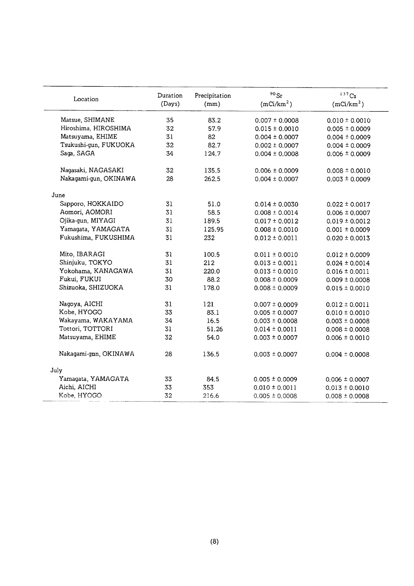| Location              | Duration | Precipitation | $90$ Sr                | 137Cs                  |
|-----------------------|----------|---------------|------------------------|------------------------|
|                       | (Days)   | (mm)          | (mCi/km <sup>2</sup> ) | (mCi/km <sup>2</sup> ) |
| Matsue, SHIMANE       | 35       | 83.2          | $0.007 \pm 0.0008$     | $0.010 \pm 0.0010$     |
| Hiroshima, HIROSHIMA  | 32       | 57.9          | $0.015 \pm 0.0010$     | $0.005 \pm 0.0009$     |
| Matsuyama, EHIME      | 31       | 82            | $0.004 \pm 0.0007$     | $0.004 \pm 0.0009$     |
| Tsukushi-gun, FUKUOKA | 32       | 82.7          | $0.002 \pm 0.0007$     | $0.004 \pm 0.0009$     |
| Saga, SAGA            | 34       | 124.7         | $0.004 \pm 0.0008$     | $0.006 \pm 0.0009$     |
| Nagasaki, NAGASAKI    | 32       | 135.5         | $0.006 \pm 0.0009$     | $0.008 \pm 0.0010$     |
| Nakagami-gun, OKINAWA | 28       | 262.5         | $0.004 \pm 0.0007$     | $0.003 \pm 0.0009$     |
| June                  |          |               |                        |                        |
| Sapporo, HOKKAIDO     | 31       | 51.0          | $0.014 \pm 0.0030$     | $0.022 \pm 0.0017$     |
| Aomori, AOMORI        | 31       | 58.5          | $0.008 \pm 0.0014$     | $0.006 \pm 0.0007$     |
| Ojika-gun, MIYAGI     | 31       | 189.5         | $0.017 \pm 0.0012$     | $0.019 \pm 0.0012$     |
| Yamagata, YAMAGATA    | 31       | 125.95        | $0.008 \pm 0.0010$     | $0.001 \pm 0.0009$     |
| Fukushima, FUKUSHIMA  | 31       | 232           | $0.012 \pm 0.0011$     | $0.020 \pm 0.0013$     |
| Mito, IBARAGI         | 31       | 100.5         | $0.011 \pm 0.0010$     | $0.012 \pm 0.0009$     |
| Shinjuku, TOKYO       | 31       | 212           | $0.013 \pm 0.0011$     | $0.024 \pm 0.0014$     |
| Yokohama, KANAGAWA    | 31       | 220.0         | $0.013 \pm 0.0010$     | $0.016 \pm 0.0011$     |
| Fukui, FUKUI          | 30       | 88.2          | $0.008 \pm 0.0009$     | $0.009 \pm 0.0008$     |
| Shizuoka, SHIZUOKA    | 31       | 178.0         | $0.008 \pm 0.0009$     | $0.015 \pm 0.0010$     |
| Nagoya, AICHI         | 31       | 121           | $0.007 \pm 0.0009$     | $0.012 \pm 0.0011$     |
| Kobe, HYOGO           | 33       | 83.1          | $0.005 \pm 0.0007$     | $0.010 \pm 0.0010$     |
| Wakayama, WAKAYAMA    | 34       | 16.5          | $0.003 \pm 0.0008$     | $0.003 \pm 0.0008$     |
| Tottori, TOTTORI      | 31       | 51.26         | $0.014 \pm 0.0011$     | $0.008 \pm 0.0008$     |
| Matsuyama, EHIME      | 32       | 54.0          | $0.003 \pm 0.0007$     | $0.006 \pm 0.0010$     |
| Nakagami-gnn, OKINAWA | 28       | 136.5         | $0.003 \pm 0.0007$     | $0.004 \pm 0.0008$     |
| July                  |          |               |                        |                        |
| Yamagata, YAMAGATA    | 33       | 84.5          | $0.005 \pm 0.0009$     | $0.006 \pm 0.0007$     |
| Aichi, AICHI          | 33       | 353           | $0.010 \pm 0.0011$     | $0.013 \pm 0.0010$     |
| Kobe, HYOGO           | 32       | 216.6         | $0.005 \pm 0.0008$     | $0.008 \pm 0.0008$     |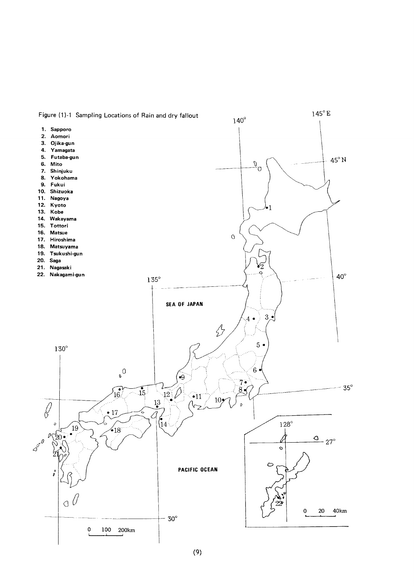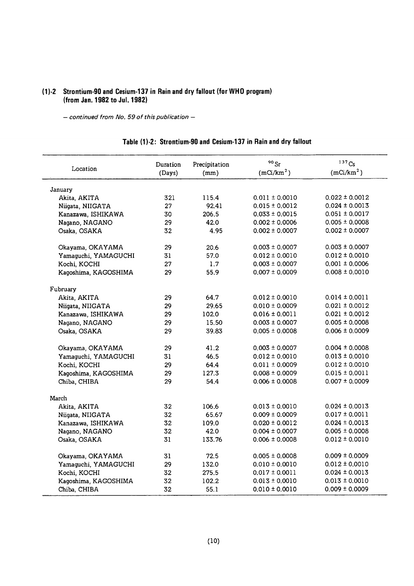# (1)-2 Strontium-90 and Cesium-137 in Rain and dry fallout (for WHO program) (from Jan. 1982 to Jul. 1982)

- continued from No. 59 of this publication -

| Location             | Duration<br>(Days) | Precipitation<br>(mm) | $90$ Sr<br>(mC/km <sup>2</sup> ) | $137C_S$<br>(mCi/km <sup>2</sup> ) |
|----------------------|--------------------|-----------------------|----------------------------------|------------------------------------|
| January              |                    |                       |                                  |                                    |
| Akita, AKITA         | 321                | 115.4                 | $0.011 \pm 0.0010$               | $0.022 \pm 0.0012$                 |
| Niigata, NIIGATA     | 27                 | 92.41                 | $0.015 \pm 0.0012$               | $0.024 \pm 0.0013$                 |
| Kanazawa, ISHIKAWA   | 30                 | 206.5                 | $0.033 \pm 0.0015$               | $0.051 \pm 0.0017$                 |
| Nagano, NAGANO       | 29                 | 42.0                  | $0.002 \pm 0.0006$               | $0.005 \pm 0.0008$                 |
| Osaka, OSAKA         | 32                 | 4.95                  | $0.002 \pm 0.0007$               | $0.002 \pm 0.0007$                 |
| Okayama, OKAYAMA     | 29                 | 20.6                  | $0.003 \pm 0.0007$               | $0.003 \pm 0.0007$                 |
| Yamaguchi, YAMAGUCHI | 31                 | 57.0                  | $0.012 \pm 0.0010$               | $0.012 \pm 0.0010$                 |
| Kochi, KOCHI         | 27                 | 1.7                   | $0.003 \pm 0.0007$               | $0.001 \pm 0.0006$                 |
| Kagoshima, KAGOSHIMA | 29                 | 55.9                  | $0.007 \pm 0.0009$               | $0.008 \pm 0.0010$                 |
| Fubruary             |                    |                       |                                  |                                    |
| Akita, AKITA         | 29                 | 64.7                  | $0.012 \pm 0.0010$               | $0.014 \pm 0.0011$                 |
| Niigata, NIIGATA     | 29                 | 29.65                 | $0.010 \pm 0.0009$               | $0.021 \pm 0.0012$                 |
| Kanazawa, ISHIKAWA   | 29                 | 102.0                 | $0.016 \pm 0.0011$               | $0.021 \pm 0.0012$                 |
| Nagano, NAGANO       | 29                 | 15.50                 | $0.003 \pm 0.0007$               | $0.005 \pm 0.0008$                 |
| Osaka, OSAKA         | 29                 | 39.83                 | $0.005 \pm 0.0008$               | $0.006 \pm 0.0009$                 |
| Okayama, OKAYAMA     | 29                 | 41.2                  | $0.003 \pm 0.0007$               | $0.004 \pm 0.0008$                 |
| Yamaguchi, YAMAGUCHI | 31                 | 46.5                  | $0.012 \pm 0.0010$               | $0.013 \pm 0.0010$                 |
| Kochi, KOCHI         | 29                 | 64.4                  | $0.011 \pm 0.0009$               | $0.012 \pm 0.0010$                 |
| Kagoshima, KAGOSHIMA | 29                 | 127.3                 | $0.008 \pm 0.0009$               | $0.015 \pm 0.0011$                 |
| Chiba, CHIBA         | 29                 | 54.4                  | $0.006 \pm 0.0008$               | $0.007 \pm 0.0009$                 |
| March                |                    |                       |                                  |                                    |
| Akita, AKITA         | 32                 | 106.6                 | $0.013 \pm 0.0010$               | $0.024 \pm 0.0013$                 |
| Niigata, NIIGATA     | 32                 | 65.67                 | $0.009 \pm 0.0009$               | $0.017 \pm 0.0011$                 |
| Kanazawa, ISHIKAWA   | 32                 | 109.0                 | $0.020 \pm 0.0012$               | $0.024 \pm 0.0013$                 |
| Nagano, NAGANO       | 32                 | 42.0                  | $0.004 \pm 0.0007$               | $0.005 \pm 0.0008$                 |
| Osaka, OSAKA         | 31                 | 133.76                | $0.006 \pm 0.0008$               | $0.012 \pm 0.0010$                 |
| Okayama, OKAYAMA     | 31                 | 72.5                  | $0.005 \pm 0.0008$               | $0.009 \pm 0.0009$                 |
| Yamaguchi, YAMAGUCHI | 29                 | 132.0                 | $0.010 \pm 0.0010$               | $0.012 \pm 0.0010$                 |
| Kochi, KOCHI         | 32                 | 275.5                 | $0.017 \pm 0.0011$               | $0.024 \pm 0.0013$                 |
| Kagoshima, KAGOSHIMA | 32                 | 102.2                 | $0.013 \pm 0.0010$               | $0.013 \pm 0.0010$                 |
| Chiba, CHIBA         | 32                 | 55.1                  | $0.010 \pm 0.0010$               | $0.009 \pm 0.0009$                 |

# Table (1)-2: Strontium-90 and Cesium-137 in Rain and dry fallout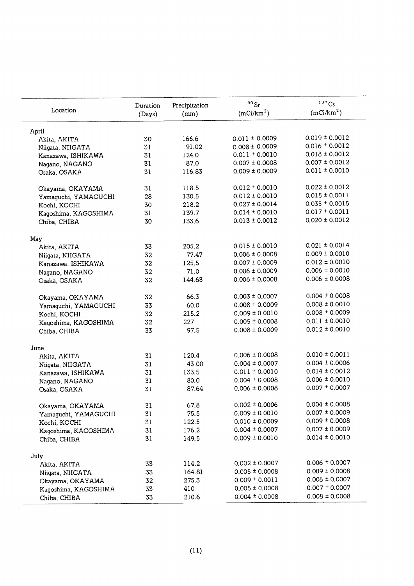| Location             | Duration | Precipitation | $^{90}\rm{Sr}$<br>(mCi/km <sup>2</sup> ) | $137$ Cs<br>(mCi/km <sup>2</sup> ) |
|----------------------|----------|---------------|------------------------------------------|------------------------------------|
|                      | (Days)   | (mm)          |                                          |                                    |
| April                |          |               |                                          |                                    |
| Akita, AKITA         | 30       | 166.6         | $0.011 \pm 0.0009$                       | $0.019 \pm 0.0012$                 |
| Niigata, NIIGATA     | 31       | 91.02         | $0.008 \pm 0.0009$                       | $0.016 \pm 0.0012$                 |
| Kanazawa, ISHIKAWA   | 31       | 124.0         | $0.011 \pm 0.0010$                       | $0.018 \pm 0.0012$                 |
| Nagano, NAGANO       | 31       | 87.0          | $0.007 \pm 0.0008$                       | $0.007 \pm 0.0012$                 |
| Osaka, OSAKA         | 31       | 116.83        | $0.009 \pm 0.0009$                       | $0.011 \pm 0.0010$                 |
| Okayama, OKAYAMA     | 31       | 118.5         | $0.012 \pm 0.0010$                       | $0.022 \pm 0.0012$                 |
| Yamaguchi, YAMAGUCHI | 28       | 130.5         | $0.012 \pm 0.0010$                       | $0.015 \pm 0.0011$                 |
| Kochi, KOCHI         | 30       | 218.2         | $0.027 \pm 0.0014$                       | $0.035 \pm 0.0015$                 |
| Kagoshima, KAGOSHIMA | 31       | 139.7         | $0.014 \pm 0.0010$                       | $0.017 \pm 0.0011$                 |
| Chiba, CHIBA         | 30       | 133.6         | $0.013 \pm 0.0012$                       | $0.020 \pm 0.0012$                 |
| May                  |          |               |                                          |                                    |
| Akita, AKITA         | 33       | 205.2         | $0.015 \pm 0.0010$                       | $0.021 \pm 0.0014$                 |
| Niigata, NIIGATA     | 32       | 77.47         | $0.006 \pm 0.0008$                       | $0.009 \pm 0.0010$                 |
| Kanazawa, ISHIKAWA   | 32       | 125.5         | $0.007 \pm 0.0009$                       | $0.012 \pm 0.0010$                 |
| Nagano, NAGANO       | 32       | 71.0          | $0.006 \pm 0.0009$                       | $0.006 \pm 0.0010$                 |
| Osaka, OSAKA         | 32       | 144.63        | $0.006 \pm 0.0008$                       | $0.006 \pm 0.0008$                 |
| Okayama, OKAYAMA     | 32       | 66.3          | $0.003 \pm 0.0007$                       | $0.004 \pm 0.0008$                 |
| Yamaguchi, YAMAGUCHI | 33       | 60.0          | $0.008 \pm 0.0009$                       | $0.008 \pm 0.0010$                 |
| Kochi, KOCHI         | 32       | 215.2         | $0.009 \pm 0.0010$                       | $0.008 \pm 0.0009$                 |
| Kagoshima, KAGOSHIMA | 32       | 227           | $0.005 \pm 0.0008$                       | $0.011 \pm 0.0010$                 |
| Chiba, CHIBA         | 33       | 97.5          | $0.008 \pm 0.0009$                       | $0.012 \pm 0.0010$                 |
| June                 |          |               |                                          |                                    |
| Akita, AKITA         | 31       | 120.4         | $0.006 \pm 0.0008$                       | $0.010 \pm 0.0011$                 |
| Niigata, NIIGATA     | 31       | 43.00         | $0.004 \pm 0.0007$                       | $0.004 \pm 0.0006$                 |
| Kanazawa, ISHIKAWA   | 31       | 133.5         | $0.011 \pm 0.0010$                       | $0.014 \pm 0.0012$                 |
| Nagano, NAGANO       | 31       | 80.0          | $0.004 \pm 0.0008$                       | $0.006 \pm 0.0010$                 |
| Osaka, OSAKA         | 31       | 87.64         | $0.006 \pm 0.0008$                       | $0.007 \pm 0.0007$                 |
| Okayama, OKAYAMA     | 31       | 67.8          | $0.002 \pm 0.0006$                       | $0.004 \pm 0.0008$                 |
| Yamaguchi, YAMAGUCHI | 31       | 75.5          | $0.009 \pm 0.0010$                       | $0.007 \pm 0.0009$                 |
| Kochi, KOCHI         | 31       | 122.5         | $0.010 \pm 0.0009$                       | $0.009 \pm 0.0008$                 |
| Kagoshima, KAGOSHIMA | 31       | 176.2         | $0.004 \pm 0.0007$                       | $0.007 \pm 0.0009$                 |
| Chiba, CHIBA         | 31       | 149.5         | $0.009 \pm 0.0010$                       | $0.014 \pm 0.0010$                 |
|                      |          |               |                                          |                                    |
| July                 |          | 114.2         | $0.002 \pm 0.0007$                       | $0.006 \pm 0.0007$                 |
| Akita, AKITA         | 33       | 164.81        | $0.005 \pm 0.0008$                       | $0.009 \pm 0.0008$                 |
| Niigata, NIIGATA     | 33       |               |                                          | $0.006 \pm 0.0007$                 |
| Okayama, OKAYAMA     | 32       | 275.3         | $0.009 \pm 0.0011$                       | $0.007 \pm 0.0007$                 |
| Kaqoshima, KAGOSHIMA | 33       | 410           | $0.005 \pm 0.0008$                       |                                    |
| Chiba, CHIBA         | 33       | 210.6         | $0.004 \pm 0.0008$                       | $0.008 \pm 0.0008$                 |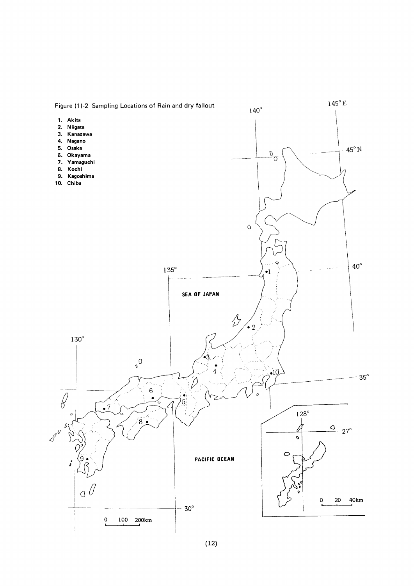

 $(12)$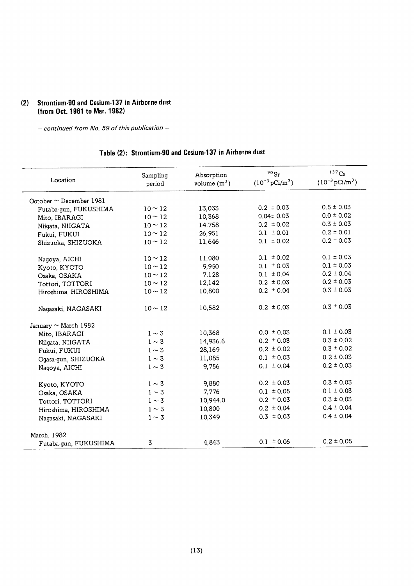## (2) Strontium-90 and Cesium-137 in Airborne dust (from Oct. 1981 to Mar. 1982)

- continued from No. 59 of this publication -

# Table (2): Strontium-90 and Cesium-137 in Airborne dust

| Location                     | Sampling<br>period | Absorption<br>volume $(m^3)$ | $90$ Sr<br>$(10^{-3} \,\mathrm{pCi/m^3})$ | $137$ Cs<br>$(10^{-3} \text{ pCi/m}^3)$ |
|------------------------------|--------------------|------------------------------|-------------------------------------------|-----------------------------------------|
| October $\sim$ December 1981 |                    |                              |                                           |                                         |
| Futaba-gun, FUKUSHIMA        | $10 \sim 12$       | 13,033                       | $0.2 \pm 0.03$                            | $0.5 \pm 0.03$                          |
| Mito, IBARAGI                | $10 \sim 12$       | 10,368                       | $0.04 \pm 0.03$                           | $0.0 \pm 0.02$                          |
| Niigata, NIIGATA             | $10 - 12$          | 14,758                       | $0.2 \pm 0.02$                            | $0.3 \pm 0.03$                          |
| Fukui, FUKUI                 | $10 - 12$          | 26,951                       | $0.1 \pm 0.01$                            | $0.2 \pm 0.01$                          |
| Shizuoka, SHIZUOKA           | $10 \sim 12$       | 11,646                       | $0.1 \pm 0.02$                            | $0.2 \pm 0.03$                          |
| Nagoya, AICHI                | $10 \sim 12$       | 11,080                       | $0.1 \pm 0.02$                            | $0.1 \pm 0.03$                          |
| Kyoto, KYOTO                 | $10 \sim 12$       | 9,950                        | $0.1 \pm 0.03$                            | $0.1 \pm 0.03$                          |
| Osaka, OSAKA                 | $10\sim12$         | 7,128                        | $0.1 \pm 0.04$                            | $0.2 \pm 0.04$                          |
| Tottori, TOTTORI             | $10 \sim 12$       | 12,142                       | $0.2 \pm 0.03$                            | $0.2 \pm 0.03$                          |
| Hiroshima, HIROSHIMA         | $10\sim12$         | 10,800                       | $0.2 \pm 0.04$                            | $0.3 \pm 0.03$                          |
| Nagasaki, NAGASAKI           | $10 \sim 12$       | 10,582                       | $0.2 \pm 0.03$                            | $0.3 \pm 0.03$                          |
| January $\sim$ March 1982    |                    |                              |                                           |                                         |
| Mito, IBARAGI                | $1\sim 3$          | 10,368                       | $0.0 \pm 0.03$                            | $0.1 \pm 0.03$                          |
| Niigata, NIIGATA             | $1\sim 3$          | 14,936.6                     | $0.2 \pm 0.03$                            | $0.3 \pm 0.02$                          |
| Fukui, FUKUI                 | $1\sim 3$          | 28,169                       | $0.2 \pm 0.02$                            | $0.3 \pm 0.02$                          |
| Ogasa-gun, SHIZUOKA          | $1\sim 3$          | 11,085                       | $0.1 \pm 0.03$                            | $0.2 \pm 0.03$                          |
| Nagoya, AICHI                | $1\sim 3$          | 9,756                        | $0.1 \pm 0.04$                            | $0.2 \pm 0.03$                          |
| Kyoto, KYOTO                 | $1 \sim 3$         | 9,880                        | $0.2 \pm 0.03$                            | $0.3 \pm 0.03$                          |
| Osaka, OSAKA                 | $1 \sim 3$         | 7,776                        | $0.1 \pm 0.05$                            | $0.1 \pm 0.03$                          |
| Tottori, TOTTORI             | $1 \sim 3$         | 10,944.0                     | $0.2 \pm 0.03$                            | $0.3 \pm 0.03$                          |
| Hiroshima, HIROSHIMA         | $1\sim 3$          | 10,800                       | $0.2 \pm 0.04$                            | $0.4 \pm 0.04$                          |
| Nagasaki, NAGASAKI           | $1 \sim 3$         | 10,349                       | $0.3 \pm 0.03$                            | $0.4 \pm 0.04$                          |
| March, 1982                  |                    |                              |                                           |                                         |
| Futaba-gun, FUKUSHIMA        | 3                  | 4,843                        | $0.1 \pm 0.06$                            | $0.2 \pm 0.05$                          |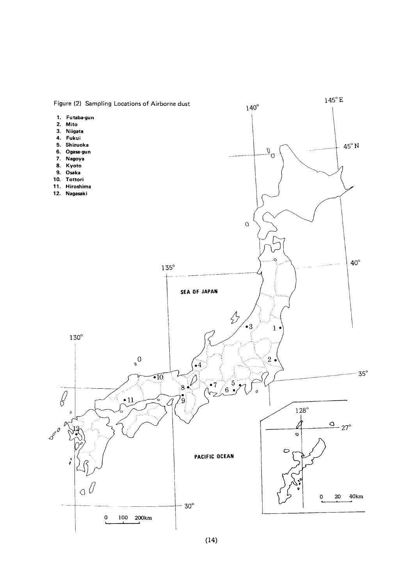

# $(14)$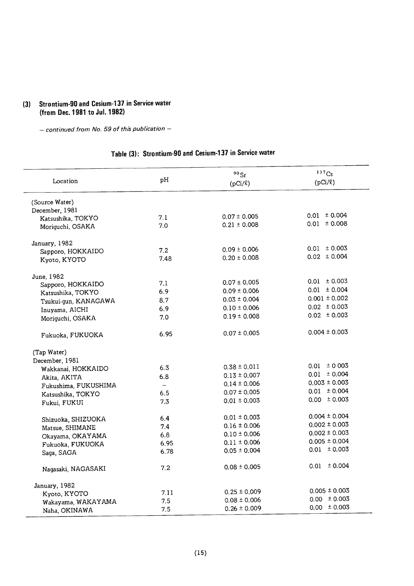# (3) Strontium-90 and Cesium-137 in Service water (from Dec. 1981 to Jul. 1982)

 $-$  continued from No. 59 of this publication  $-$ 

# Table (3): Strontium-90 and Cesium-137 in Service water

| Location             | рH                       | 90Sr<br>$(pCi/\ell)$ | 137Cs<br>$(pCi/\ell)$ |
|----------------------|--------------------------|----------------------|-----------------------|
| (Source Water)       |                          |                      |                       |
| December, 1981       |                          |                      |                       |
| Katsushika, TOKYO    | 7.1                      | $0.07 \pm 0.005$     | $0.01 \pm 0.004$      |
| Moriguchi, OSAKA     | 7.0                      | $0.21 \pm 0.008$     | $0.01 \pm 0.008$      |
| January, 1982        |                          |                      |                       |
| Sapporo, HOKKAIDO    | 7.2                      | $0.09 \pm 0.006$     | $0.01 \pm 0.003$      |
| Kyoto, KYOTO         | 7.48                     | $0.20 \pm 0.008$     | $0.02 \pm 0.004$      |
| June, 1982           |                          |                      |                       |
| Sapporo, HOKKAIDO    | 7.1                      | $0.07 \pm 0.005$     | $0.01 \pm 0.003$      |
| Katsushika, TOKYO    | 6.9                      | $0.09 \pm 0.006$     | $0.01 \pm 0.004$      |
| Tsukui-gun, KANAGAWA | 8.7                      | $0.03 \pm 0.004$     | $0.001 \pm 0.002$     |
| Inuyama, AICHI       | 6.9                      | $0.10 \pm 0.006$     | $0.02 \pm 0.003$      |
| Moriguchi, OSAKA     | 7.0                      | $0.19 \pm 0.008$     | $0.02 \pm 0.003$      |
| Fukuoka, FUKUOKA     | 6.95                     | $0.07 \pm 0.005$     | $0.004 \pm 0.003$     |
| (Tap Water)          |                          |                      |                       |
| December, 1981       |                          |                      |                       |
| Wakkanai, HOKKAIDO   | 6.3                      | $0.38 \pm 0.011$     | $0.01 \pm 0.003$      |
| Akita, AKITA         | 6.8                      | $0.13 \pm 0.007$     | $0.01 \pm 0.004$      |
| Fukushima, FUKUSHIMA | $\overline{\phantom{0}}$ | $0.14 \pm 0.006$     | $0.003 \pm 0.003$     |
| Katsushika, TOKYO    | 6.5                      | $0.07 \pm 0.005$     | $0.01 \pm 0.004$      |
| Fukui, FUKUI         | 7.3                      | $0.01 \pm 0.003$     | $0.00 \pm 0.003$      |
| Shizuoka, SHIZUOKA   | 6.4                      | $0.01 \pm 0.003$     | $0.004 \pm 0.004$     |
| Matsue, SHIMANE      | 7.4                      | $0.16 \pm 0.006$     | $0.002 \pm 0.003$     |
| Okayama, OKAYAMA     | 6.8                      | $0.10 \pm 0.006$     | $0.002 \pm 0.003$     |
| Fukuoka, FUKUOKA     | 6.95                     | $0.11 \pm 0.006$     | $0.005 \pm 0.004$     |
| Saga, SAGA           | 6.78                     | $0.05 \pm 0.004$     | $0.01 \pm 0.003$      |
| Nagasaki, NAGASAKI   | 7.2                      | $0.08 \pm 0.005$     | $0.01 \pm 0.004$      |
| January, 1982        |                          |                      |                       |
| Kyoto, KYOTO         | 7.11                     | $0.25 \pm 0.009$     | $0.005 \pm 0.003$     |
| Wakayama, WAKAYAMA   | 7.5                      | $0.08 \pm 0.006$     | $0.00 \pm 0.003$      |
| Naha, OKINAWA        | 7.5                      | $0.26 \pm 0.009$     | $0.00 \pm 0.003$      |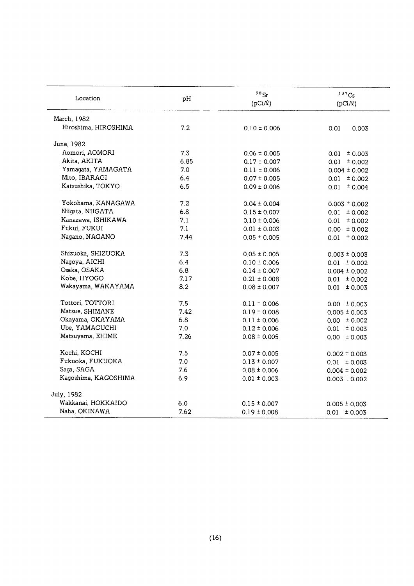| Location             | рH   | $90$ Sr<br>$(pCi/\ell)$ | $137C_S$<br>$(pCi/\ell)$ |
|----------------------|------|-------------------------|--------------------------|
| March, 1982          |      |                         |                          |
| Hiroshima, HIROSHIMA | 7.2  | $0.10 \pm 0.006$        | 0.01<br>0.003            |
| June, 1982           |      |                         |                          |
| Aomori, AOMORI       | 7.3  | $0.06 \pm 0.005$        | $0.01 \pm 0.003$         |
| Akita, AKITA         | 6.85 | $0.17 \pm 0.007$        | $0.01 \pm 0.002$         |
| Yamagata, YAMAGATA   | 7.0  | $0.11 \pm 0.006$        | $0.004 \pm 0.002$        |
| Mito, IBARAGI        | 6.4  | $0.07 \pm 0.005$        | $0.01 \pm 0.002$         |
| Katsushika, TOKYO    | 6.5  | $0.09 \pm 0.006$        | $0.01 \pm 0.004$         |
| Yokohama, KANAGAWA   | 7.2  | $0.04 \pm 0.004$        | $0.003 \pm 0.002$        |
| Niigata, NIIGATA     | 6.8  | $0.15 \pm 0.007$        | $0.01 \pm 0.002$         |
| Kanazawa, ISHIKAWA   | 7.1  | $0.10 \pm 0.006$        | $0.01 \pm 0.002$         |
| Fukui, FUKUI         | 7.1  | $0.01 \pm 0.003$        | $0.00 \pm 0.002$         |
| Nagano, NAGANO       | 7.44 | $0.05 \pm 0.005$        | $0.01 \pm 0.002$         |
| Shizuoka, SHIZUOKA   | 7.3  | $0.05 \pm 0.005$        | $0.003 \pm 0.003$        |
| Nagoya, AICHI        | 6.4  | $0.10 \pm 0.006$        | $0.01 \pm 0.002$         |
| Osaka, OSAKA         | 6.8  | $0.14 \pm 0.007$        | $0.004 \pm 0.002$        |
| Kobe, HYOGO          | 7.17 | $0.21 \pm 0.008$        | $0.01 \pm 0.002$         |
| Wakayama, WAKAYAMA   | 8.2  | $0.08 \pm 0.007$        | $0.01 \pm 0.003$         |
| Tottori, TOTTORI     | 7.5  | $0.11 \pm 0.006$        | $0.00 \pm 0.003$         |
| Matsue, SHIMANE      | 7.42 | $0.19 \pm 0.008$        | $0.005 \pm 0.003$        |
| Okayama, OKAYAMA     | 6.8  | $0.11 \pm 0.006$        | $0.00 \pm 0.002$         |
| Ube, YAMAGUCHI       | 7.0  | $0.12 \pm 0.006$        | $0.01 \pm 0.003$         |
| Matsuyama, EHIME     | 7.26 | $0.08 \pm 0.005$        | $0.00 \pm 0.003$         |
| Kochi, KOCHI         | 7.5  | $0.07 \pm 0.005$        | $0.002 \pm 0.003$        |
| Fukuoka, FUKUOKA     | 7.0  | $0.13 \pm 0.007$        | $0.01 \pm 0.003$         |
| Saga, SAGA           | 7.6  | $0.08 \pm 0.006$        | $0.004 \pm 0.002$        |
| Kagoshima, KAGOSHIMA | 6.9  | $0.01 \pm 0.003$        | $0.003 \pm 0.002$        |
| July, 1982           |      |                         |                          |
| Wakkanai, HOKKAIDO   | 6.0  | $0.15 \pm 0.007$        | $0.005 \pm 0.003$        |
| Naha, OKINAWA        | 7.62 | $0.19 \pm 0.008$        | $0.01 \pm 0.003$         |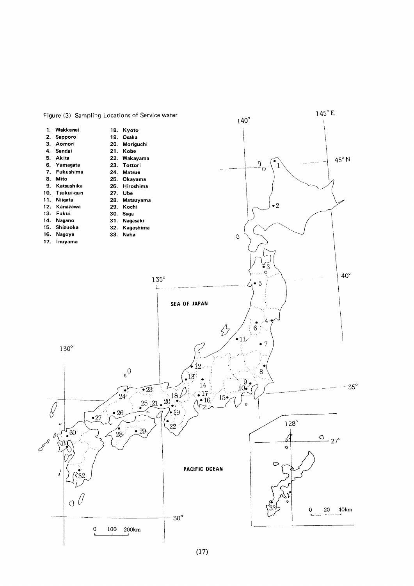

#### Figure (3) Sampling Locations of Service water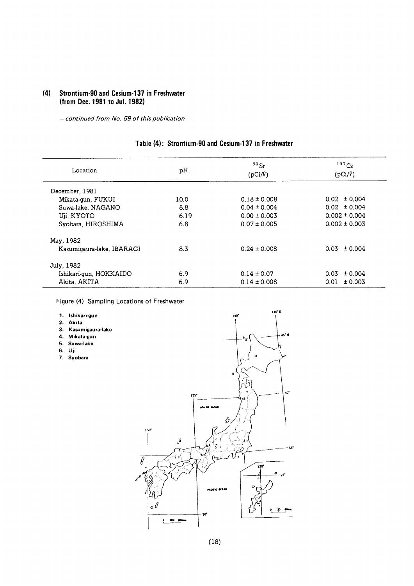#### (4) Strontium-90 and Cesium-137 in Freshwater (from Dec. 1981 to Jul. 1982)

 $-$  continued from No. 59 of this publication  $-$ 

#### $137Cs$ 90sr Location pH  $(pCi/\ell)$  $(pCi/\ell)$ December,1981 Mikata-gun, FUKUI 10.0 0.18±0.008  $0.02 \pm 0.004$ Suwa-lake, NAGANO 8.8  $0.04 \pm 0.004$  $0.02 \pm 0.004$  $0.00 \pm 0.003$  $0.002 \pm 0.004$ Uji, KYOTO 6.19 Syobara, HIROSHIMA 6.8  $0.07 \pm 0.005$  $0.002 \pm 0.003$ May,1982 Kasumigaura-lake, IBARAGI 8.3 0.24±0.008  $0.03 \pm 0.004$ July,1982 Ishikari-gun, HOKKAIDO 6.9  $0.14 \pm 0.07$  $0.03 \pm 0.004$ Akita, AKITA 6.9  $0.14 \pm 0.008$  $0.01 \pm 0.003$

# Table (4): Strontium-90 and Cesium-137 in Freshwater

Figure (4) Sampling Locations of Freshwater